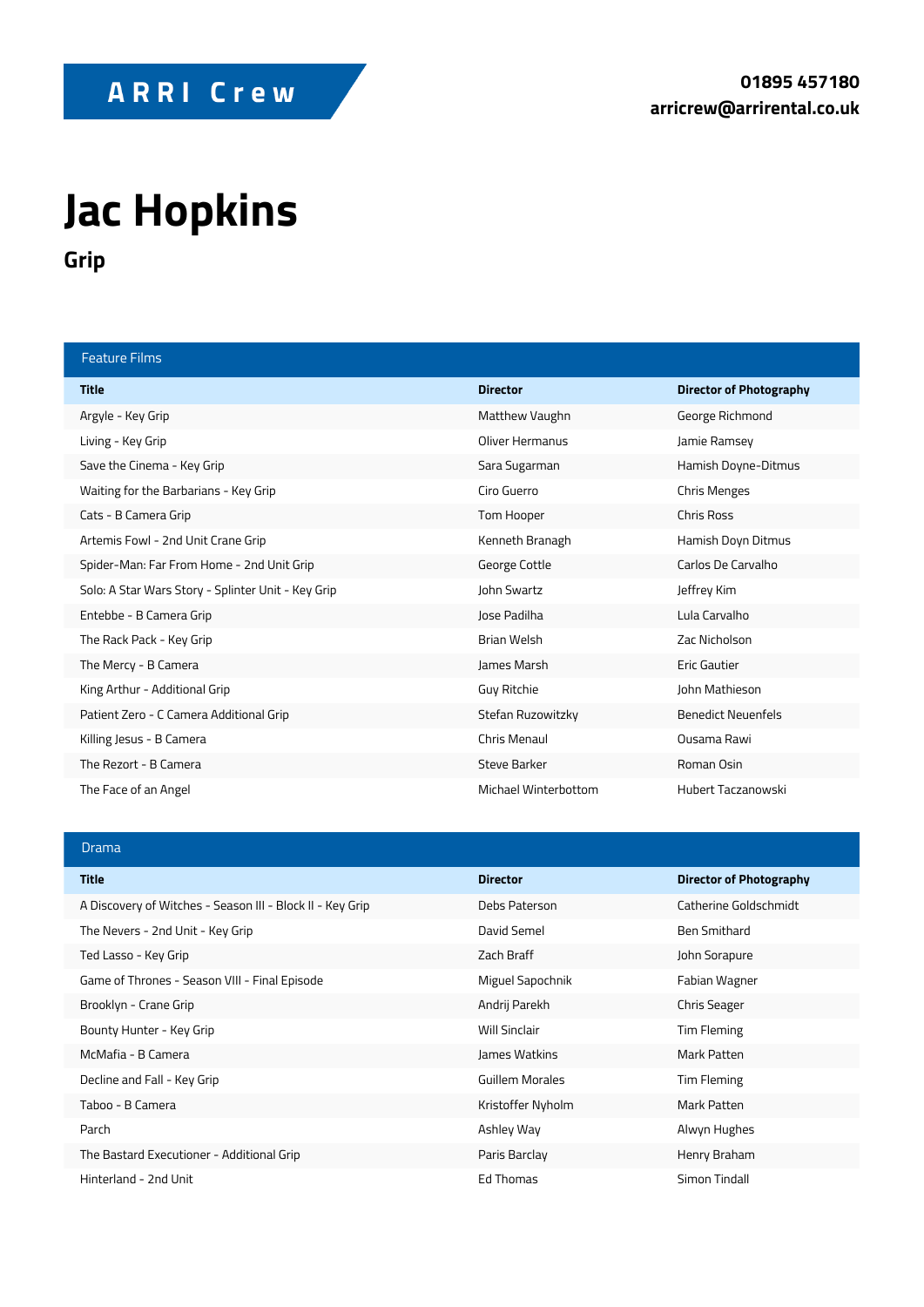## **Jac Hopkins**

**Grip**

| <b>Feature Films</b>                               |                      |                                |
|----------------------------------------------------|----------------------|--------------------------------|
| <b>Title</b>                                       | <b>Director</b>      | <b>Director of Photography</b> |
| Argyle - Key Grip                                  | Matthew Vaughn       | George Richmond                |
| Living - Key Grip                                  | Oliver Hermanus      | Jamie Ramsey                   |
| Save the Cinema - Key Grip                         | Sara Sugarman        | Hamish Doyne-Ditmus            |
| Waiting for the Barbarians - Key Grip              | Ciro Guerro          | <b>Chris Menges</b>            |
| Cats - B Camera Grip                               | Tom Hooper           | <b>Chris Ross</b>              |
| Artemis Fowl - 2nd Unit Crane Grip                 | Kenneth Branagh      | Hamish Doyn Ditmus             |
| Spider-Man: Far From Home - 2nd Unit Grip          | George Cottle        | Carlos De Carvalho             |
| Solo: A Star Wars Story - Splinter Unit - Key Grip | John Swartz          | Jeffrey Kim                    |
| Entebbe - B Camera Grip                            | Jose Padilha         | Lula Carvalho                  |
| The Rack Pack - Key Grip                           | <b>Brian Welsh</b>   | Zac Nicholson                  |
| The Mercy - B Camera                               | James Marsh          | <b>Eric Gautier</b>            |
| King Arthur - Additional Grip                      | Guy Ritchie          | John Mathieson                 |
| Patient Zero - C Camera Additional Grip            | Stefan Ruzowitzky    | <b>Benedict Neuenfels</b>      |
| Killing Jesus - B Camera                           | Chris Menaul         | Qusama Rawi                    |
| The Rezort - B Camera                              | <b>Steve Barker</b>  | Roman Osin                     |
| The Face of an Angel                               | Michael Winterbottom | Hubert Taczanowski             |

## Drama

| <b>Title</b>                                              | <b>Director</b>      | <b>Director of Photography</b> |
|-----------------------------------------------------------|----------------------|--------------------------------|
| A Discovery of Witches - Season III - Block II - Key Grip | Debs Paterson        | Catherine Goldschmidt          |
| The Nevers - 2nd Unit - Key Grip                          | David Semel          | Ben Smithard                   |
| Ted Lasso - Key Grip                                      | Zach Braff           | John Sorapure                  |
| Game of Thrones - Season VIII - Final Episode             | Miguel Sapochnik     | Fabian Wagner                  |
| Brooklyn - Crane Grip                                     | Andrij Parekh        | <b>Chris Seager</b>            |
| Bounty Hunter - Key Grip                                  | <b>Will Sinclair</b> | Tim Fleming                    |
| McMafia - B Camera                                        | James Watkins        | Mark Patten                    |
| Decline and Fall - Key Grip                               | Guillem Morales      | Tim Fleming                    |
| Taboo - B Camera                                          | Kristoffer Nyholm    | Mark Patten                    |
| Parch                                                     | Ashley Way           | Alwyn Hughes                   |
| The Bastard Executioner - Additional Grip                 | Paris Barclay        | Henry Braham                   |
| Hinterland - 2nd Unit                                     | Ed Thomas            | Simon Tindall                  |